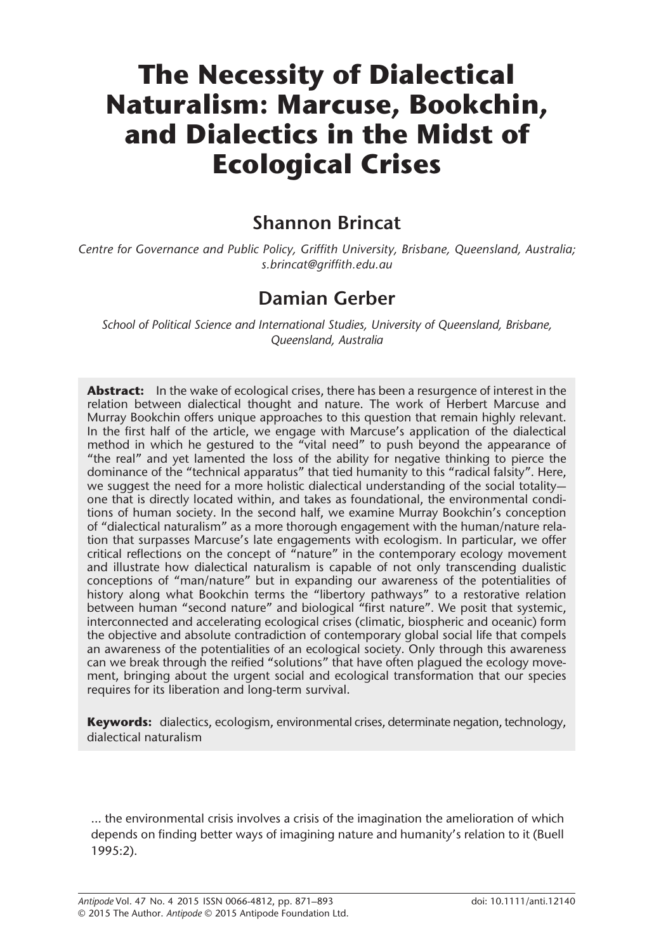# The Necessity of Dialectical Naturalism: Marcuse, Bookchin, and Dialectics in the Midst of Ecological Crises

## Shannon Brincat

Centre for Governance and Public Policy, Griffith University, Brisbane, Queensland, Australia; s.brincat@griffith.edu.au

# Damian Gerber

School of Political Science and International Studies, University of Queensland, Brisbane, Queensland, Australia

**Abstract:** In the wake of ecological crises, there has been a resurgence of interest in the relation between dialectical thought and nature. The work of Herbert Marcuse and Murray Bookchin offers unique approaches to this question that remain highly relevant. In the first half of the article, we engage with Marcuse's application of the dialectical method in which he gestured to the "vital need" to push beyond the appearance of "the real" and yet lamented the loss of the ability for negative thinking to pierce the dominance of the "technical apparatus" that tied humanity to this "radical falsity". Here, we suggest the need for a more holistic dialectical understanding of the social totality one that is directly located within, and takes as foundational, the environmental conditions of human society. In the second half, we examine Murray Bookchin's conception of "dialectical naturalism" as a more thorough engagement with the human/nature relation that surpasses Marcuse's late engagements with ecologism. In particular, we offer critical reflections on the concept of  $\pi$ nature" in the contemporary ecology movement and illustrate how dialectical naturalism is capable of not only transcending dualistic conceptions of "man/nature" but in expanding our awareness of the potentialities of history along what Bookchin terms the "libertory pathways" to a restorative relation between human "second nature" and biological "first nature". We posit that systemic, interconnected and accelerating ecological crises (climatic, biospheric and oceanic) form the objective and absolute contradiction of contemporary global social life that compels an awareness of the potentialities of an ecological society. Only through this awareness can we break through the reified "solutions" that have often plagued the ecology movement, bringing about the urgent social and ecological transformation that our species requires for its liberation and long-term survival.

Keywords: dialectics, ecologism, environmental crises, determinate negation, technology, dialectical naturalism

… the environmental crisis involves a crisis of the imagination the amelioration of which depends on finding better ways of imagining nature and humanity's relation to it (Buell 1995:2).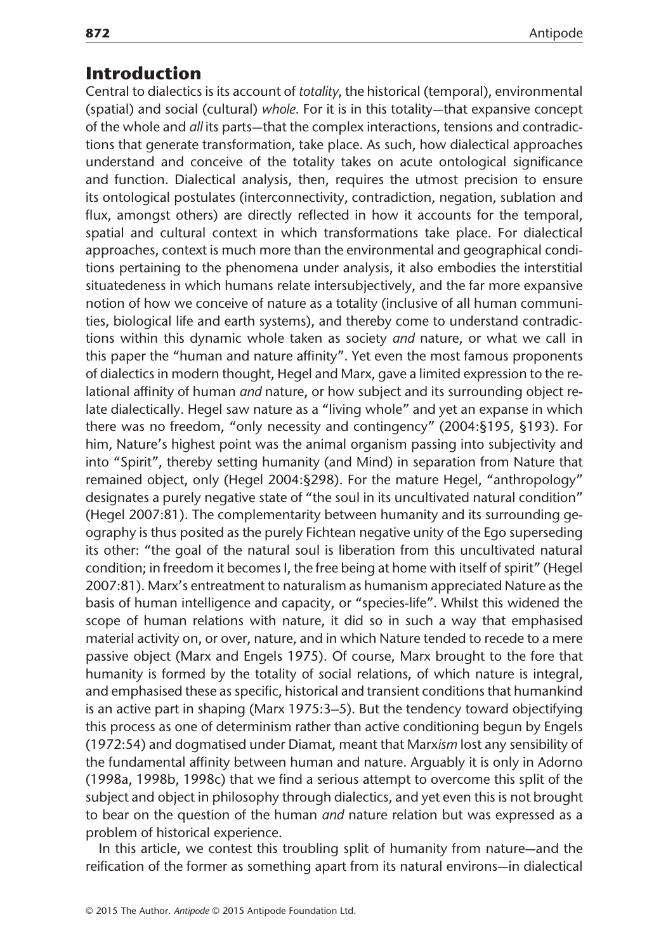#### Introduction

Central to dialectics is its account of totality, the historical (temporal), environmental (spatial) and social (cultural) whole. For it is in this totality—that expansive concept of the whole and all its parts—that the complex interactions, tensions and contradictions that generate transformation, take place. As such, how dialectical approaches understand and conceive of the totality takes on acute ontological significance and function. Dialectical analysis, then, requires the utmost precision to ensure its ontological postulates (interconnectivity, contradiction, negation, sublation and flux, amongst others) are directly reflected in how it accounts for the temporal, spatial and cultural context in which transformations take place. For dialectical approaches, context is much more than the environmental and geographical conditions pertaining to the phenomena under analysis, it also embodies the interstitial situatedeness in which humans relate intersubjectively, and the far more expansive notion of how we conceive of nature as a totality (inclusive of all human communities, biological life and earth systems), and thereby come to understand contradictions within this dynamic whole taken as society and nature, or what we call in this paper the "human and nature affinity". Yet even the most famous proponents of dialectics in modern thought, Hegel and Marx, gave a limited expression to the relational affinity of human and nature, or how subject and its surrounding object relate dialectically. Hegel saw nature as a "living whole" and yet an expanse in which there was no freedom, "only necessity and contingency" (2004:§195, §193). For him, Nature's highest point was the animal organism passing into subjectivity and into "Spirit", thereby setting humanity (and Mind) in separation from Nature that remained object, only (Hegel 2004:§298). For the mature Hegel, "anthropology" designates a purely negative state of "the soul in its uncultivated natural condition" (Hegel 2007:81). The complementarity between humanity and its surrounding geography is thus posited as the purely Fichtean negative unity of the Ego superseding its other: "the goal of the natural soul is liberation from this uncultivated natural condition; in freedom it becomes I, the free being at home with itself of spirit" (Hegel 2007:81). Marx's entreatment to naturalism as humanism appreciated Nature as the basis of human intelligence and capacity, or "species-life". Whilst this widened the scope of human relations with nature, it did so in such a way that emphasised material activity on, or over, nature, and in which Nature tended to recede to a mere passive object (Marx and Engels 1975). Of course, Marx brought to the fore that humanity is formed by the totality of social relations, of which nature is integral, and emphasised these as specific, historical and transient conditions that humankind is an active part in shaping (Marx 1975:3–5). But the tendency toward objectifying this process as one of determinism rather than active conditioning begun by Engels (1972:54) and dogmatised under Diamat, meant that Marxism lost any sensibility of the fundamental affinity between human and nature. Arguably it is only in Adorno (1998a, 1998b, 1998c) that we find a serious attempt to overcome this split of the subject and object in philosophy through dialectics, and yet even this is not brought to bear on the question of the human *and* nature relation but was expressed as a problem of historical experience.

In this article, we contest this troubling split of humanity from nature—and the reification of the former as something apart from its natural environs—in dialectical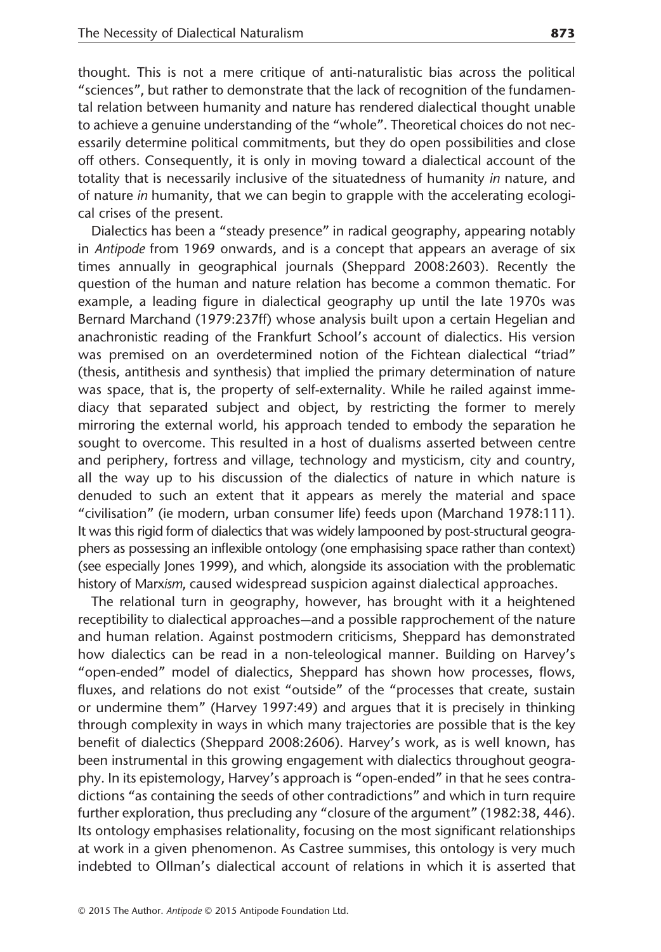thought. This is not a mere critique of anti-naturalistic bias across the political "sciences", but rather to demonstrate that the lack of recognition of the fundamental relation between humanity and nature has rendered dialectical thought unable to achieve a genuine understanding of the "whole". Theoretical choices do not necessarily determine political commitments, but they do open possibilities and close off others. Consequently, it is only in moving toward a dialectical account of the totality that is necessarily inclusive of the situatedness of humanity in nature, and of nature in humanity, that we can begin to grapple with the accelerating ecological crises of the present.

Dialectics has been a "steady presence" in radical geography, appearing notably in Antipode from 1969 onwards, and is a concept that appears an average of six times annually in geographical journals (Sheppard 2008:2603). Recently the question of the human and nature relation has become a common thematic. For example, a leading figure in dialectical geography up until the late 1970s was Bernard Marchand (1979:237ff) whose analysis built upon a certain Hegelian and anachronistic reading of the Frankfurt School's account of dialectics. His version was premised on an overdetermined notion of the Fichtean dialectical "triad" (thesis, antithesis and synthesis) that implied the primary determination of nature was space, that is, the property of self-externality. While he railed against immediacy that separated subject and object, by restricting the former to merely mirroring the external world, his approach tended to embody the separation he sought to overcome. This resulted in a host of dualisms asserted between centre and periphery, fortress and village, technology and mysticism, city and country, all the way up to his discussion of the dialectics of nature in which nature is denuded to such an extent that it appears as merely the material and space "civilisation" (ie modern, urban consumer life) feeds upon (Marchand 1978:111). It was this rigid form of dialectics that was widely lampooned by post-structural geographers as possessing an inflexible ontology (one emphasising space rather than context) (see especially Jones 1999), and which, alongside its association with the problematic history of Marxism, caused widespread suspicion against dialectical approaches.

The relational turn in geography, however, has brought with it a heightened receptibility to dialectical approaches—and a possible rapprochement of the nature and human relation. Against postmodern criticisms, Sheppard has demonstrated how dialectics can be read in a non-teleological manner. Building on Harvey's "open-ended" model of dialectics, Sheppard has shown how processes, flows, fluxes, and relations do not exist "outside" of the "processes that create, sustain or undermine them" (Harvey 1997:49) and argues that it is precisely in thinking through complexity in ways in which many trajectories are possible that is the key benefit of dialectics (Sheppard 2008:2606). Harvey's work, as is well known, has been instrumental in this growing engagement with dialectics throughout geography. In its epistemology, Harvey's approach is "open-ended" in that he sees contradictions "as containing the seeds of other contradictions" and which in turn require further exploration, thus precluding any "closure of the argument" (1982:38, 446). Its ontology emphasises relationality, focusing on the most significant relationships at work in a given phenomenon. As Castree summises, this ontology is very much indebted to Ollman's dialectical account of relations in which it is asserted that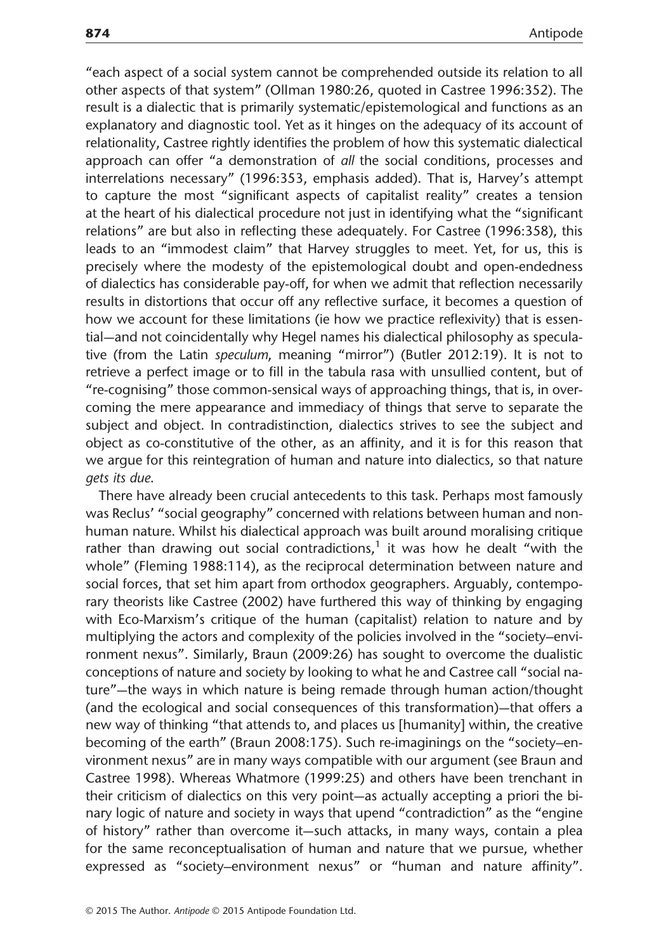"each aspect of a social system cannot be comprehended outside its relation to all other aspects of that system" (Ollman 1980:26, quoted in Castree 1996:352). The result is a dialectic that is primarily systematic/epistemological and functions as an explanatory and diagnostic tool. Yet as it hinges on the adequacy of its account of relationality, Castree rightly identifies the problem of how this systematic dialectical approach can offer "a demonstration of all the social conditions, processes and interrelations necessary" (1996:353, emphasis added). That is, Harvey's attempt to capture the most "significant aspects of capitalist reality" creates a tension at the heart of his dialectical procedure not just in identifying what the "significant relations" are but also in reflecting these adequately. For Castree (1996:358), this leads to an "immodest claim" that Harvey struggles to meet. Yet, for us, this is precisely where the modesty of the epistemological doubt and open-endedness of dialectics has considerable pay-off, for when we admit that reflection necessarily results in distortions that occur off any reflective surface, it becomes a question of how we account for these limitations (ie how we practice reflexivity) that is essential—and not coincidentally why Hegel names his dialectical philosophy as speculative (from the Latin speculum, meaning "mirror") (Butler 2012:19). It is not to retrieve a perfect image or to fill in the tabula rasa with unsullied content, but of "re-cognising" those common-sensical ways of approaching things, that is, in overcoming the mere appearance and immediacy of things that serve to separate the subject and object. In contradistinction, dialectics strives to see the subject and object as co-constitutive of the other, as an affinity, and it is for this reason that we argue for this reintegration of human and nature into dialectics, so that nature gets its due.

There have already been crucial antecedents to this task. Perhaps most famously was Reclus' "social geography" concerned with relations between human and nonhuman nature. Whilst his dialectical approach was built around moralising critique rather than drawing out social contradictions,<sup>1</sup> it was how he dealt "with the whole" (Fleming 1988:114), as the reciprocal determination between nature and social forces, that set him apart from orthodox geographers. Arguably, contemporary theorists like Castree (2002) have furthered this way of thinking by engaging with Eco-Marxism's critique of the human (capitalist) relation to nature and by multiplying the actors and complexity of the policies involved in the "society–environment nexus". Similarly, Braun (2009:26) has sought to overcome the dualistic conceptions of nature and society by looking to what he and Castree call "social nature"—the ways in which nature is being remade through human action/thought (and the ecological and social consequences of this transformation)—that offers a new way of thinking "that attends to, and places us [humanity] within, the creative becoming of the earth" (Braun 2008:175). Such re-imaginings on the "society–environment nexus" are in many ways compatible with our argument (see Braun and Castree 1998). Whereas Whatmore (1999:25) and others have been trenchant in their criticism of dialectics on this very point—as actually accepting a priori the binary logic of nature and society in ways that upend "contradiction" as the "engine of history" rather than overcome it—such attacks, in many ways, contain a plea for the same reconceptualisation of human and nature that we pursue, whether expressed as "society–environment nexus" or "human and nature affinity".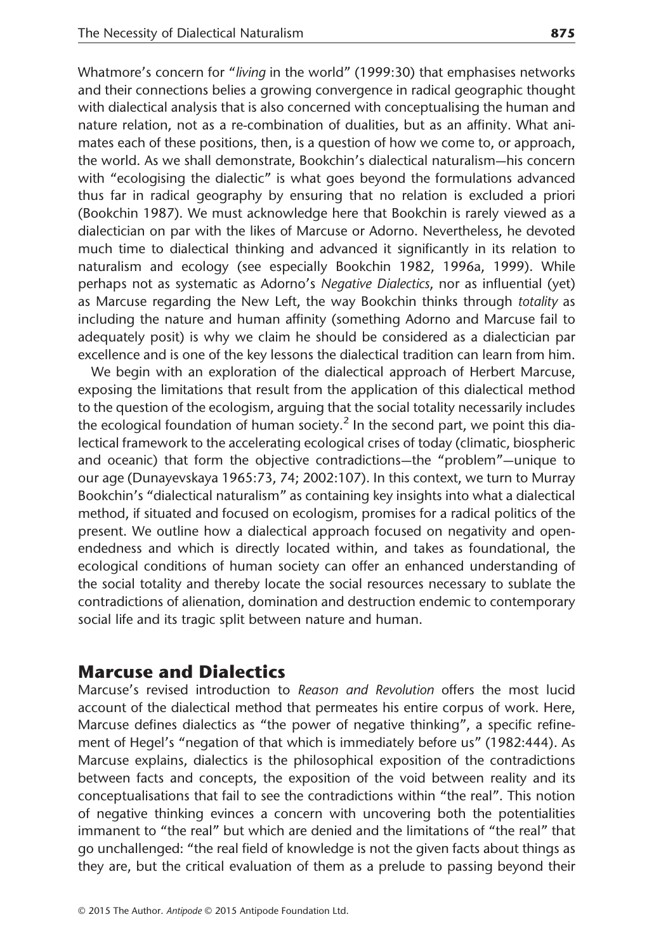Whatmore's concern for "living in the world" (1999:30) that emphasises networks and their connections belies a growing convergence in radical geographic thought with dialectical analysis that is also concerned with conceptualising the human and nature relation, not as a re-combination of dualities, but as an affinity. What animates each of these positions, then, is a question of how we come to, or approach, the world. As we shall demonstrate, Bookchin's dialectical naturalism—his concern with "ecologising the dialectic" is what goes beyond the formulations advanced thus far in radical geography by ensuring that no relation is excluded a priori (Bookchin 1987). We must acknowledge here that Bookchin is rarely viewed as a dialectician on par with the likes of Marcuse or Adorno. Nevertheless, he devoted much time to dialectical thinking and advanced it significantly in its relation to naturalism and ecology (see especially Bookchin 1982, 1996a, 1999). While perhaps not as systematic as Adorno's Negative Dialectics, nor as influential (yet) as Marcuse regarding the New Left, the way Bookchin thinks through totality as including the nature and human affinity (something Adorno and Marcuse fail to adequately posit) is why we claim he should be considered as a dialectician par excellence and is one of the key lessons the dialectical tradition can learn from him.

We begin with an exploration of the dialectical approach of Herbert Marcuse, exposing the limitations that result from the application of this dialectical method to the question of the ecologism, arguing that the social totality necessarily includes the ecological foundation of human society.<sup>2</sup> In the second part, we point this dialectical framework to the accelerating ecological crises of today (climatic, biospheric and oceanic) that form the objective contradictions—the "problem"—unique to our age (Dunayevskaya 1965:73, 74; 2002:107). In this context, we turn to Murray Bookchin's "dialectical naturalism" as containing key insights into what a dialectical method, if situated and focused on ecologism, promises for a radical politics of the present. We outline how a dialectical approach focused on negativity and openendedness and which is directly located within, and takes as foundational, the ecological conditions of human society can offer an enhanced understanding of the social totality and thereby locate the social resources necessary to sublate the contradictions of alienation, domination and destruction endemic to contemporary social life and its tragic split between nature and human.

### Marcuse and Dialectics

Marcuse's revised introduction to Reason and Revolution offers the most lucid account of the dialectical method that permeates his entire corpus of work. Here, Marcuse defines dialectics as "the power of negative thinking", a specific refinement of Hegel's "negation of that which is immediately before us" (1982:444). As Marcuse explains, dialectics is the philosophical exposition of the contradictions between facts and concepts, the exposition of the void between reality and its conceptualisations that fail to see the contradictions within "the real". This notion of negative thinking evinces a concern with uncovering both the potentialities immanent to "the real" but which are denied and the limitations of "the real" that go unchallenged: "the real field of knowledge is not the given facts about things as they are, but the critical evaluation of them as a prelude to passing beyond their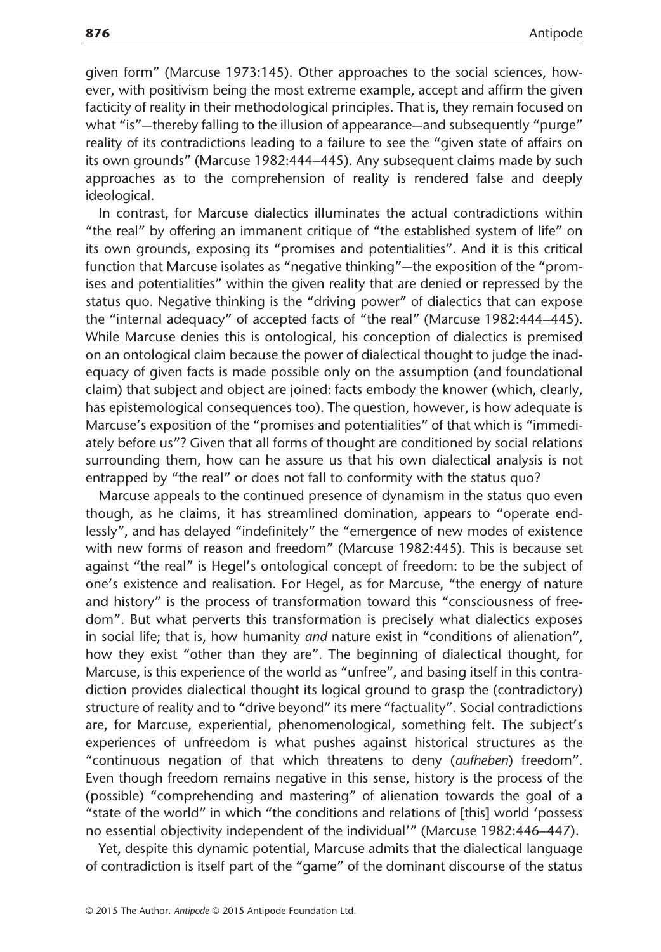given form" (Marcuse 1973:145). Other approaches to the social sciences, however, with positivism being the most extreme example, accept and affirm the given facticity of reality in their methodological principles. That is, they remain focused on what "is"—thereby falling to the illusion of appearance—and subsequently "purge" reality of its contradictions leading to a failure to see the "given state of affairs on its own grounds" (Marcuse 1982:444–445). Any subsequent claims made by such approaches as to the comprehension of reality is rendered false and deeply ideological.

In contrast, for Marcuse dialectics illuminates the actual contradictions within "the real" by offering an immanent critique of "the established system of life" on its own grounds, exposing its "promises and potentialities". And it is this critical function that Marcuse isolates as "negative thinking"—the exposition of the "promises and potentialities" within the given reality that are denied or repressed by the status quo. Negative thinking is the "driving power" of dialectics that can expose the "internal adequacy" of accepted facts of "the real" (Marcuse 1982:444–445). While Marcuse denies this is ontological, his conception of dialectics is premised on an ontological claim because the power of dialectical thought to judge the inadequacy of given facts is made possible only on the assumption (and foundational claim) that subject and object are joined: facts embody the knower (which, clearly, has epistemological consequences too). The question, however, is how adequate is Marcuse's exposition of the "promises and potentialities" of that which is "immediately before us"? Given that all forms of thought are conditioned by social relations surrounding them, how can he assure us that his own dialectical analysis is not entrapped by "the real" or does not fall to conformity with the status quo?

Marcuse appeals to the continued presence of dynamism in the status quo even though, as he claims, it has streamlined domination, appears to "operate endlessly", and has delayed "indefinitely" the "emergence of new modes of existence with new forms of reason and freedom" (Marcuse 1982:445). This is because set against "the real" is Hegel's ontological concept of freedom: to be the subject of one's existence and realisation. For Hegel, as for Marcuse, "the energy of nature and history" is the process of transformation toward this "consciousness of freedom". But what perverts this transformation is precisely what dialectics exposes in social life; that is, how humanity and nature exist in "conditions of alienation", how they exist "other than they are". The beginning of dialectical thought, for Marcuse, is this experience of the world as "unfree", and basing itself in this contradiction provides dialectical thought its logical ground to grasp the (contradictory) structure of reality and to "drive beyond" its mere "factuality". Social contradictions are, for Marcuse, experiential, phenomenological, something felt. The subject's experiences of unfreedom is what pushes against historical structures as the "continuous negation of that which threatens to deny (aufheben) freedom". Even though freedom remains negative in this sense, history is the process of the (possible) "comprehending and mastering" of alienation towards the goal of a "state of the world" in which "the conditions and relations of [this] world 'possess no essential objectivity independent of the individual'" (Marcuse 1982:446–447).

Yet, despite this dynamic potential, Marcuse admits that the dialectical language of contradiction is itself part of the "game" of the dominant discourse of the status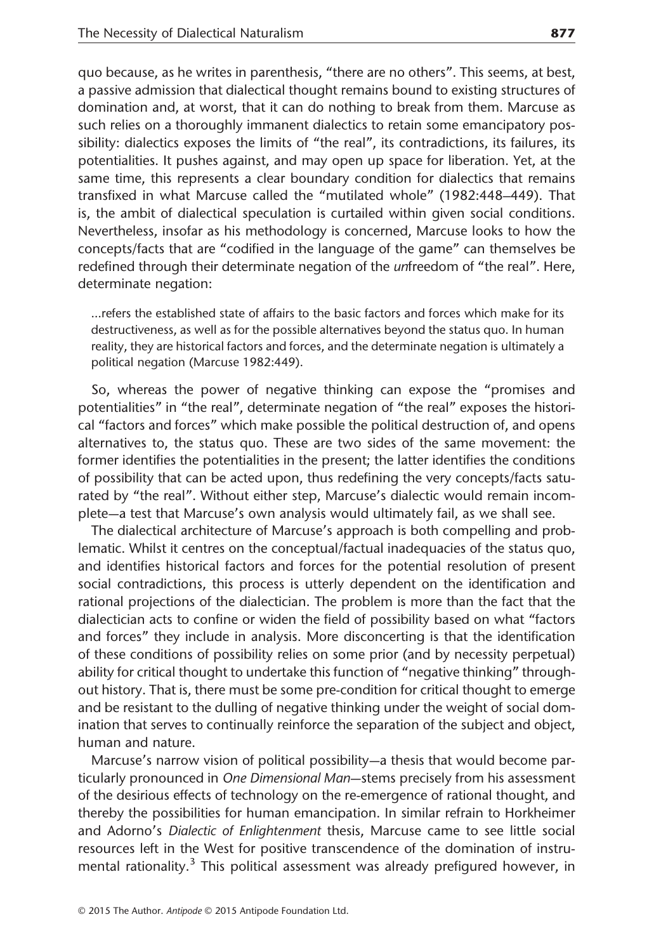quo because, as he writes in parenthesis, "there are no others". This seems, at best, a passive admission that dialectical thought remains bound to existing structures of domination and, at worst, that it can do nothing to break from them. Marcuse as such relies on a thoroughly immanent dialectics to retain some emancipatory possibility: dialectics exposes the limits of "the real", its contradictions, its failures, its potentialities. It pushes against, and may open up space for liberation. Yet, at the same time, this represents a clear boundary condition for dialectics that remains transfixed in what Marcuse called the "mutilated whole" (1982:448–449). That is, the ambit of dialectical speculation is curtailed within given social conditions. Nevertheless, insofar as his methodology is concerned, Marcuse looks to how the concepts/facts that are "codified in the language of the game" can themselves be redefined through their determinate negation of the unfreedom of "the real". Here, determinate negation:

…refers the established state of affairs to the basic factors and forces which make for its destructiveness, as well as for the possible alternatives beyond the status quo. In human reality, they are historical factors and forces, and the determinate negation is ultimately a political negation (Marcuse 1982:449).

So, whereas the power of negative thinking can expose the "promises and potentialities" in "the real", determinate negation of "the real" exposes the historical "factors and forces" which make possible the political destruction of, and opens alternatives to, the status quo. These are two sides of the same movement: the former identifies the potentialities in the present; the latter identifies the conditions of possibility that can be acted upon, thus redefining the very concepts/facts saturated by "the real". Without either step, Marcuse's dialectic would remain incomplete—a test that Marcuse's own analysis would ultimately fail, as we shall see.

The dialectical architecture of Marcuse's approach is both compelling and problematic. Whilst it centres on the conceptual/factual inadequacies of the status quo, and identifies historical factors and forces for the potential resolution of present social contradictions, this process is utterly dependent on the identification and rational projections of the dialectician. The problem is more than the fact that the dialectician acts to confine or widen the field of possibility based on what "factors and forces" they include in analysis. More disconcerting is that the identification of these conditions of possibility relies on some prior (and by necessity perpetual) ability for critical thought to undertake this function of "negative thinking" throughout history. That is, there must be some pre-condition for critical thought to emerge and be resistant to the dulling of negative thinking under the weight of social domination that serves to continually reinforce the separation of the subject and object, human and nature.

Marcuse's narrow vision of political possibility—a thesis that would become particularly pronounced in One Dimensional Man-stems precisely from his assessment of the desirious effects of technology on the re-emergence of rational thought, and thereby the possibilities for human emancipation. In similar refrain to Horkheimer and Adorno's Dialectic of Enlightenment thesis, Marcuse came to see little social resources left in the West for positive transcendence of the domination of instrumental rationality.<sup>3</sup> This political assessment was already prefigured however, in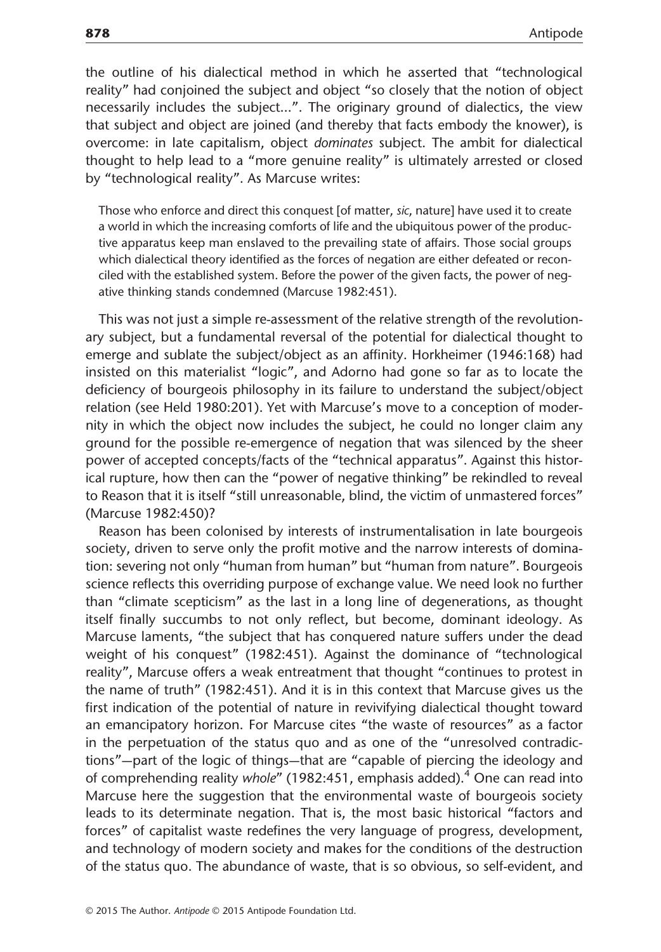the outline of his dialectical method in which he asserted that "technological reality" had conjoined the subject and object "so closely that the notion of object necessarily includes the subject…". The originary ground of dialectics, the view that subject and object are joined (and thereby that facts embody the knower), is overcome: in late capitalism, object dominates subject. The ambit for dialectical thought to help lead to a "more genuine reality" is ultimately arrested or closed by "technological reality". As Marcuse writes:

Those who enforce and direct this conquest [of matter, sic, nature] have used it to create a world in which the increasing comforts of life and the ubiquitous power of the productive apparatus keep man enslaved to the prevailing state of affairs. Those social groups which dialectical theory identified as the forces of negation are either defeated or reconciled with the established system. Before the power of the given facts, the power of negative thinking stands condemned (Marcuse 1982:451).

This was not just a simple re-assessment of the relative strength of the revolutionary subject, but a fundamental reversal of the potential for dialectical thought to emerge and sublate the subject/object as an affinity. Horkheimer (1946:168) had insisted on this materialist "logic", and Adorno had gone so far as to locate the deficiency of bourgeois philosophy in its failure to understand the subject/object relation (see Held 1980:201). Yet with Marcuse's move to a conception of modernity in which the object now includes the subject, he could no longer claim any ground for the possible re-emergence of negation that was silenced by the sheer power of accepted concepts/facts of the "technical apparatus". Against this historical rupture, how then can the "power of negative thinking" be rekindled to reveal to Reason that it is itself "still unreasonable, blind, the victim of unmastered forces" (Marcuse 1982:450)?

Reason has been colonised by interests of instrumentalisation in late bourgeois society, driven to serve only the profit motive and the narrow interests of domination: severing not only "human from human" but "human from nature". Bourgeois science reflects this overriding purpose of exchange value. We need look no further than "climate scepticism" as the last in a long line of degenerations, as thought itself finally succumbs to not only reflect, but become, dominant ideology. As Marcuse laments, "the subject that has conquered nature suffers under the dead weight of his conquest" (1982:451). Against the dominance of "technological reality", Marcuse offers a weak entreatment that thought "continues to protest in the name of truth" (1982:451). And it is in this context that Marcuse gives us the first indication of the potential of nature in revivifying dialectical thought toward an emancipatory horizon. For Marcuse cites "the waste of resources" as a factor in the perpetuation of the status quo and as one of the "unresolved contradictions"—part of the logic of things—that are "capable of piercing the ideology and of comprehending reality whole" (1982:451, emphasis added).<sup>4</sup> One can read into Marcuse here the suggestion that the environmental waste of bourgeois society leads to its determinate negation. That is, the most basic historical "factors and forces" of capitalist waste redefines the very language of progress, development, and technology of modern society and makes for the conditions of the destruction of the status quo. The abundance of waste, that is so obvious, so self-evident, and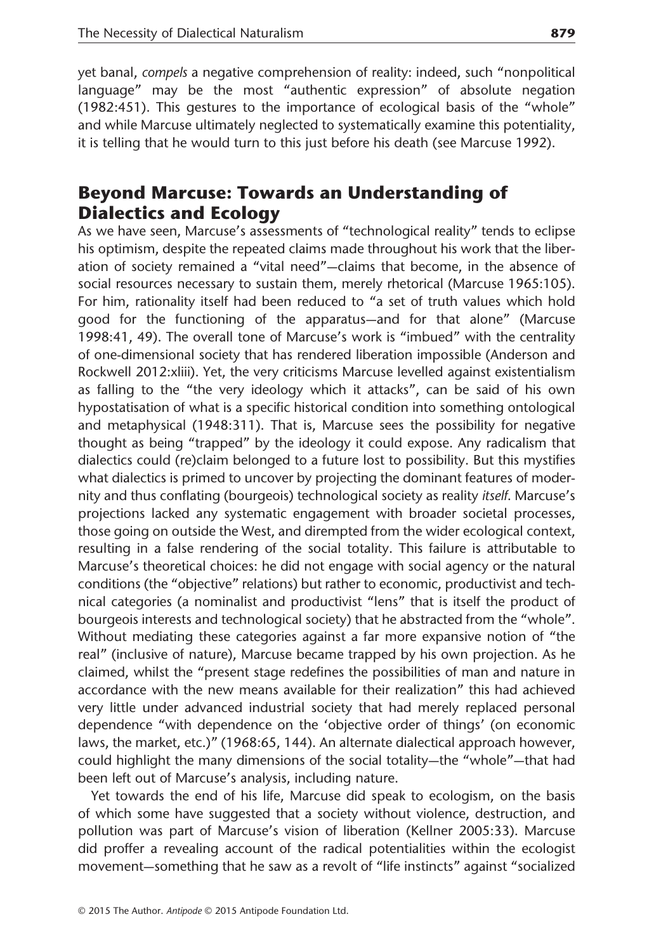yet banal, compels a negative comprehension of reality: indeed, such "nonpolitical language" may be the most "authentic expression" of absolute negation (1982:451). This gestures to the importance of ecological basis of the "whole" and while Marcuse ultimately neglected to systematically examine this potentiality, it is telling that he would turn to this just before his death (see Marcuse 1992).

## Beyond Marcuse: Towards an Understanding of Dialectics and Ecology

As we have seen, Marcuse's assessments of "technological reality" tends to eclipse his optimism, despite the repeated claims made throughout his work that the liberation of society remained a "vital need"—claims that become, in the absence of social resources necessary to sustain them, merely rhetorical (Marcuse 1965:105). For him, rationality itself had been reduced to "a set of truth values which hold good for the functioning of the apparatus—and for that alone" (Marcuse 1998:41, 49). The overall tone of Marcuse's work is "imbued" with the centrality of one-dimensional society that has rendered liberation impossible (Anderson and Rockwell 2012:xliii). Yet, the very criticisms Marcuse levelled against existentialism as falling to the "the very ideology which it attacks", can be said of his own hypostatisation of what is a specific historical condition into something ontological and metaphysical (1948:311). That is, Marcuse sees the possibility for negative thought as being "trapped" by the ideology it could expose. Any radicalism that dialectics could (re)claim belonged to a future lost to possibility. But this mystifies what dialectics is primed to uncover by projecting the dominant features of modernity and thus conflating (bourgeois) technological society as reality itself. Marcuse's projections lacked any systematic engagement with broader societal processes, those going on outside the West, and dirempted from the wider ecological context, resulting in a false rendering of the social totality. This failure is attributable to Marcuse's theoretical choices: he did not engage with social agency or the natural conditions (the "objective" relations) but rather to economic, productivist and technical categories (a nominalist and productivist "lens" that is itself the product of bourgeois interests and technological society) that he abstracted from the "whole". Without mediating these categories against a far more expansive notion of "the real" (inclusive of nature), Marcuse became trapped by his own projection. As he claimed, whilst the "present stage redefines the possibilities of man and nature in accordance with the new means available for their realization" this had achieved very little under advanced industrial society that had merely replaced personal dependence "with dependence on the 'objective order of things' (on economic laws, the market, etc.)" (1968:65, 144). An alternate dialectical approach however, could highlight the many dimensions of the social totality—the "whole"—that had been left out of Marcuse's analysis, including nature.

Yet towards the end of his life, Marcuse did speak to ecologism, on the basis of which some have suggested that a society without violence, destruction, and pollution was part of Marcuse's vision of liberation (Kellner 2005:33). Marcuse did proffer a revealing account of the radical potentialities within the ecologist movement—something that he saw as a revolt of "life instincts" against "socialized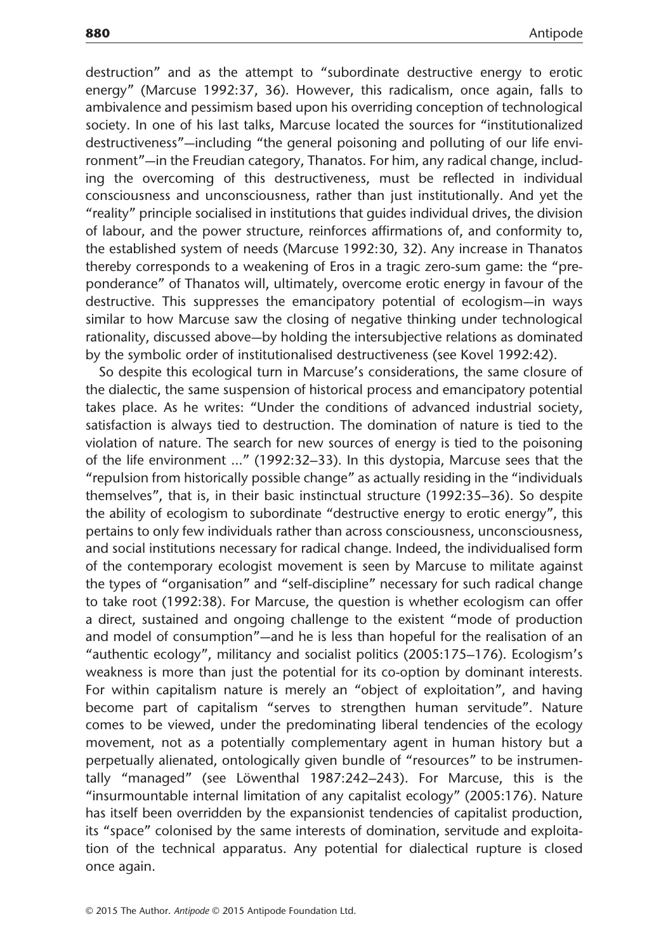destruction" and as the attempt to "subordinate destructive energy to erotic energy" (Marcuse 1992:37, 36). However, this radicalism, once again, falls to ambivalence and pessimism based upon his overriding conception of technological society. In one of his last talks, Marcuse located the sources for "institutionalized destructiveness"—including "the general poisoning and polluting of our life environment"—in the Freudian category, Thanatos. For him, any radical change, including the overcoming of this destructiveness, must be reflected in individual consciousness and unconsciousness, rather than just institutionally. And yet the "reality" principle socialised in institutions that guides individual drives, the division of labour, and the power structure, reinforces affirmations of, and conformity to, the established system of needs (Marcuse 1992:30, 32). Any increase in Thanatos thereby corresponds to a weakening of Eros in a tragic zero-sum game: the "preponderance" of Thanatos will, ultimately, overcome erotic energy in favour of the destructive. This suppresses the emancipatory potential of ecologism—in ways similar to how Marcuse saw the closing of negative thinking under technological rationality, discussed above—by holding the intersubjective relations as dominated by the symbolic order of institutionalised destructiveness (see Kovel 1992:42).

So despite this ecological turn in Marcuse's considerations, the same closure of the dialectic, the same suspension of historical process and emancipatory potential takes place. As he writes: "Under the conditions of advanced industrial society, satisfaction is always tied to destruction. The domination of nature is tied to the violation of nature. The search for new sources of energy is tied to the poisoning of the life environment …" (1992:32–33). In this dystopia, Marcuse sees that the "repulsion from historically possible change" as actually residing in the "individuals themselves", that is, in their basic instinctual structure (1992:35–36). So despite the ability of ecologism to subordinate "destructive energy to erotic energy", this pertains to only few individuals rather than across consciousness, unconsciousness, and social institutions necessary for radical change. Indeed, the individualised form of the contemporary ecologist movement is seen by Marcuse to militate against the types of "organisation" and "self-discipline" necessary for such radical change to take root (1992:38). For Marcuse, the question is whether ecologism can offer a direct, sustained and ongoing challenge to the existent "mode of production and model of consumption"—and he is less than hopeful for the realisation of an "authentic ecology", militancy and socialist politics (2005:175–176). Ecologism's weakness is more than just the potential for its co-option by dominant interests. For within capitalism nature is merely an "object of exploitation", and having become part of capitalism "serves to strengthen human servitude". Nature comes to be viewed, under the predominating liberal tendencies of the ecology movement, not as a potentially complementary agent in human history but a perpetually alienated, ontologically given bundle of "resources" to be instrumentally "managed" (see Löwenthal 1987:242–243). For Marcuse, this is the "insurmountable internal limitation of any capitalist ecology" (2005:176). Nature has itself been overridden by the expansionist tendencies of capitalist production, its "space" colonised by the same interests of domination, servitude and exploitation of the technical apparatus. Any potential for dialectical rupture is closed once again.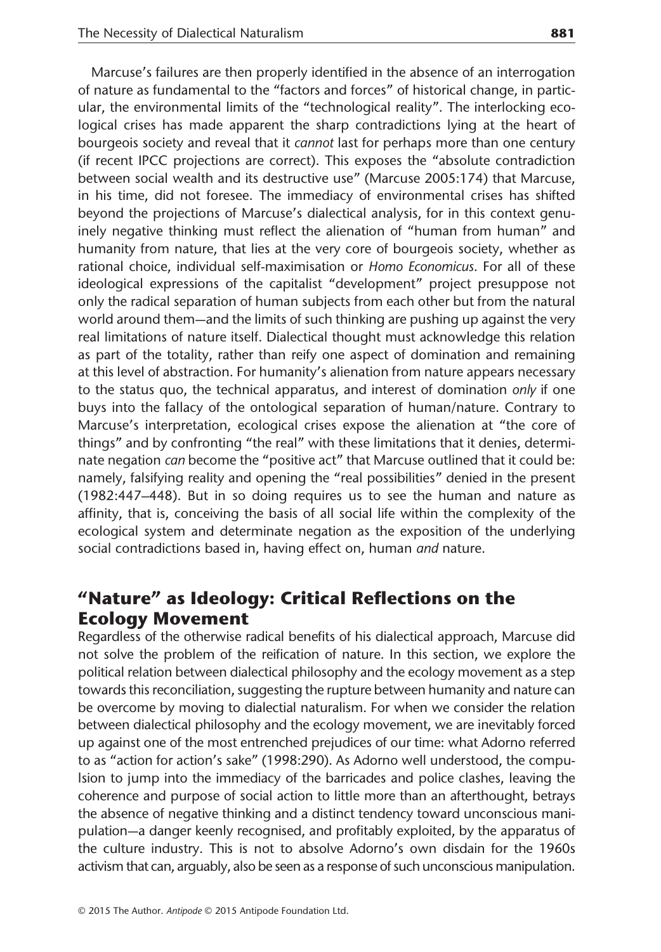Marcuse's failures are then properly identified in the absence of an interrogation of nature as fundamental to the "factors and forces" of historical change, in particular, the environmental limits of the "technological reality". The interlocking ecological crises has made apparent the sharp contradictions lying at the heart of bourgeois society and reveal that it cannot last for perhaps more than one century (if recent IPCC projections are correct). This exposes the "absolute contradiction between social wealth and its destructive use" (Marcuse 2005:174) that Marcuse, in his time, did not foresee. The immediacy of environmental crises has shifted beyond the projections of Marcuse's dialectical analysis, for in this context genuinely negative thinking must reflect the alienation of "human from human" and humanity from nature, that lies at the very core of bourgeois society, whether as rational choice, individual self-maximisation or Homo Economicus. For all of these ideological expressions of the capitalist "development" project presuppose not only the radical separation of human subjects from each other but from the natural world around them—and the limits of such thinking are pushing up against the very real limitations of nature itself. Dialectical thought must acknowledge this relation as part of the totality, rather than reify one aspect of domination and remaining at this level of abstraction. For humanity's alienation from nature appears necessary to the status quo, the technical apparatus, and interest of domination only if one buys into the fallacy of the ontological separation of human/nature. Contrary to Marcuse's interpretation, ecological crises expose the alienation at "the core of things" and by confronting "the real" with these limitations that it denies, determinate negation can become the "positive act" that Marcuse outlined that it could be: namely, falsifying reality and opening the "real possibilities" denied in the present (1982:447–448). But in so doing requires us to see the human and nature as affinity, that is, conceiving the basis of all social life within the complexity of the ecological system and determinate negation as the exposition of the underlying social contradictions based in, having effect on, human and nature.

## "Nature" as Ideology: Critical Reflections on the Ecology Movement

Regardless of the otherwise radical benefits of his dialectical approach, Marcuse did not solve the problem of the reification of nature. In this section, we explore the political relation between dialectical philosophy and the ecology movement as a step towards this reconciliation, suggesting the rupture between humanity and nature can be overcome by moving to dialectial naturalism. For when we consider the relation between dialectical philosophy and the ecology movement, we are inevitably forced up against one of the most entrenched prejudices of our time: what Adorno referred to as "action for action's sake" (1998:290). As Adorno well understood, the compulsion to jump into the immediacy of the barricades and police clashes, leaving the coherence and purpose of social action to little more than an afterthought, betrays the absence of negative thinking and a distinct tendency toward unconscious manipulation—a danger keenly recognised, and profitably exploited, by the apparatus of the culture industry. This is not to absolve Adorno's own disdain for the 1960s activism that can, arguably, also be seen as a response of such unconscious manipulation.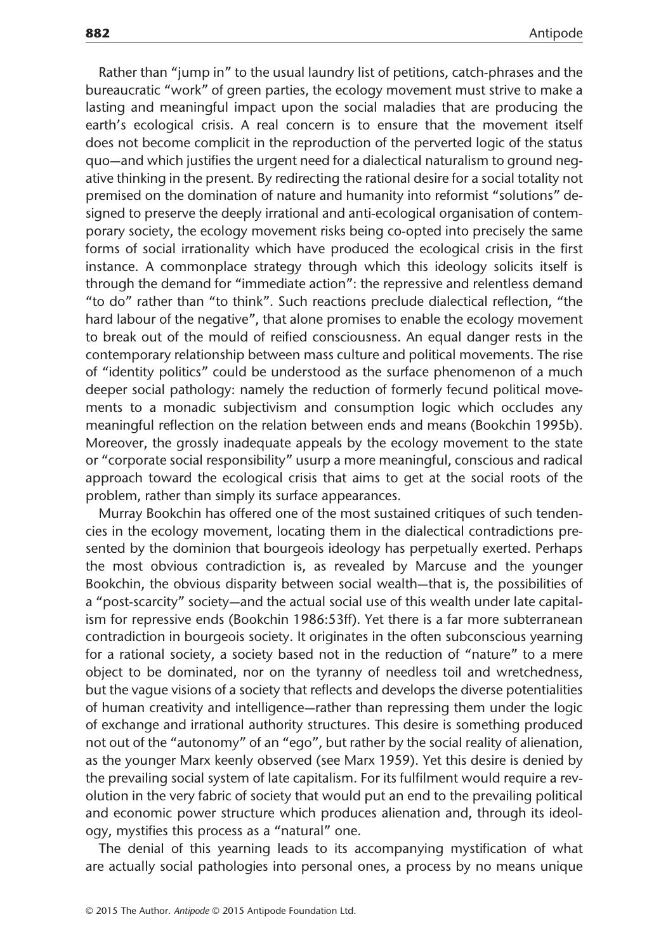Rather than "jump in" to the usual laundry list of petitions, catch-phrases and the bureaucratic "work" of green parties, the ecology movement must strive to make a lasting and meaningful impact upon the social maladies that are producing the earth's ecological crisis. A real concern is to ensure that the movement itself does not become complicit in the reproduction of the perverted logic of the status quo—and which justifies the urgent need for a dialectical naturalism to ground negative thinking in the present. By redirecting the rational desire for a social totality not premised on the domination of nature and humanity into reformist "solutions" designed to preserve the deeply irrational and anti-ecological organisation of contemporary society, the ecology movement risks being co-opted into precisely the same forms of social irrationality which have produced the ecological crisis in the first instance. A commonplace strategy through which this ideology solicits itself is through the demand for "immediate action": the repressive and relentless demand "to do" rather than "to think". Such reactions preclude dialectical reflection, "the hard labour of the negative", that alone promises to enable the ecology movement to break out of the mould of reified consciousness. An equal danger rests in the contemporary relationship between mass culture and political movements. The rise of "identity politics" could be understood as the surface phenomenon of a much deeper social pathology: namely the reduction of formerly fecund political movements to a monadic subjectivism and consumption logic which occludes any meaningful reflection on the relation between ends and means (Bookchin 1995b). Moreover, the grossly inadequate appeals by the ecology movement to the state or "corporate social responsibility" usurp a more meaningful, conscious and radical approach toward the ecological crisis that aims to get at the social roots of the problem, rather than simply its surface appearances.

Murray Bookchin has offered one of the most sustained critiques of such tendencies in the ecology movement, locating them in the dialectical contradictions presented by the dominion that bourgeois ideology has perpetually exerted. Perhaps the most obvious contradiction is, as revealed by Marcuse and the younger Bookchin, the obvious disparity between social wealth—that is, the possibilities of a "post-scarcity" society—and the actual social use of this wealth under late capitalism for repressive ends (Bookchin 1986:53ff). Yet there is a far more subterranean contradiction in bourgeois society. It originates in the often subconscious yearning for a rational society, a society based not in the reduction of "nature" to a mere object to be dominated, nor on the tyranny of needless toil and wretchedness, but the vague visions of a society that reflects and develops the diverse potentialities of human creativity and intelligence—rather than repressing them under the logic of exchange and irrational authority structures. This desire is something produced not out of the "autonomy" of an "ego", but rather by the social reality of alienation, as the younger Marx keenly observed (see Marx 1959). Yet this desire is denied by the prevailing social system of late capitalism. For its fulfilment would require a revolution in the very fabric of society that would put an end to the prevailing political and economic power structure which produces alienation and, through its ideology, mystifies this process as a "natural" one.

The denial of this yearning leads to its accompanying mystification of what are actually social pathologies into personal ones, a process by no means unique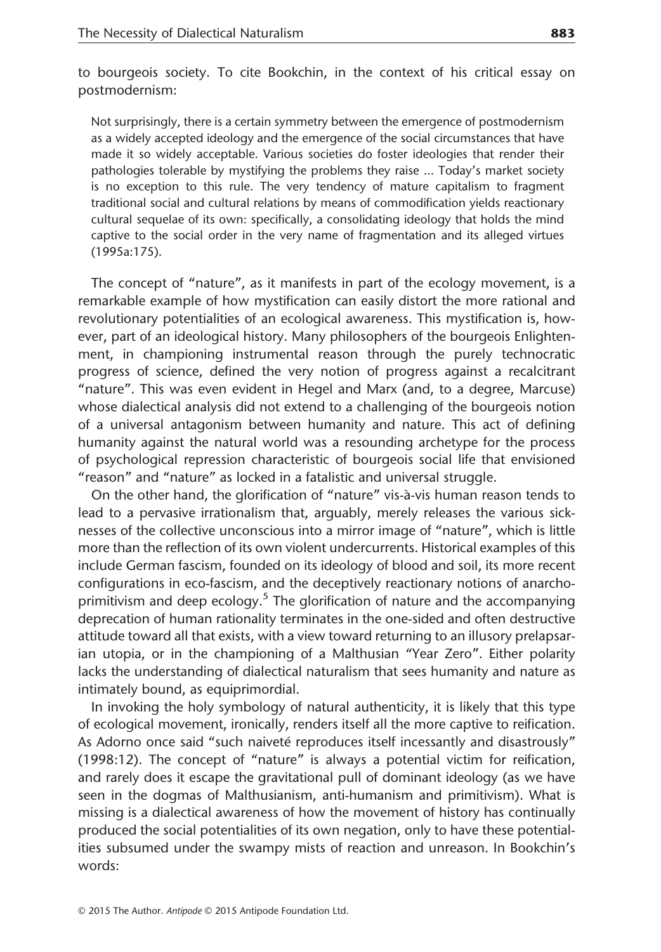to bourgeois society. To cite Bookchin, in the context of his critical essay on postmodernism:

Not surprisingly, there is a certain symmetry between the emergence of postmodernism as a widely accepted ideology and the emergence of the social circumstances that have made it so widely acceptable. Various societies do foster ideologies that render their pathologies tolerable by mystifying the problems they raise … Today's market society is no exception to this rule. The very tendency of mature capitalism to fragment traditional social and cultural relations by means of commodification yields reactionary cultural sequelae of its own: specifically, a consolidating ideology that holds the mind captive to the social order in the very name of fragmentation and its alleged virtues (1995a:175).

The concept of "nature", as it manifests in part of the ecology movement, is a remarkable example of how mystification can easily distort the more rational and revolutionary potentialities of an ecological awareness. This mystification is, however, part of an ideological history. Many philosophers of the bourgeois Enlightenment, in championing instrumental reason through the purely technocratic progress of science, defined the very notion of progress against a recalcitrant "nature". This was even evident in Hegel and Marx (and, to a degree, Marcuse) whose dialectical analysis did not extend to a challenging of the bourgeois notion of a universal antagonism between humanity and nature. This act of defining humanity against the natural world was a resounding archetype for the process of psychological repression characteristic of bourgeois social life that envisioned "reason" and "nature" as locked in a fatalistic and universal struggle.

On the other hand, the glorification of "nature" vis-à-vis human reason tends to lead to a pervasive irrationalism that, arguably, merely releases the various sicknesses of the collective unconscious into a mirror image of "nature", which is little more than the reflection of its own violent undercurrents. Historical examples of this include German fascism, founded on its ideology of blood and soil, its more recent configurations in eco-fascism, and the deceptively reactionary notions of anarchoprimitivism and deep ecology.<sup>5</sup> The glorification of nature and the accompanying deprecation of human rationality terminates in the one-sided and often destructive attitude toward all that exists, with a view toward returning to an illusory prelapsarian utopia, or in the championing of a Malthusian "Year Zero". Either polarity lacks the understanding of dialectical naturalism that sees humanity and nature as intimately bound, as equiprimordial.

In invoking the holy symbology of natural authenticity, it is likely that this type of ecological movement, ironically, renders itself all the more captive to reification. As Adorno once said "such naiveté reproduces itself incessantly and disastrously" (1998:12). The concept of "nature" is always a potential victim for reification, and rarely does it escape the gravitational pull of dominant ideology (as we have seen in the dogmas of Malthusianism, anti-humanism and primitivism). What is missing is a dialectical awareness of how the movement of history has continually produced the social potentialities of its own negation, only to have these potentialities subsumed under the swampy mists of reaction and unreason. In Bookchin's words: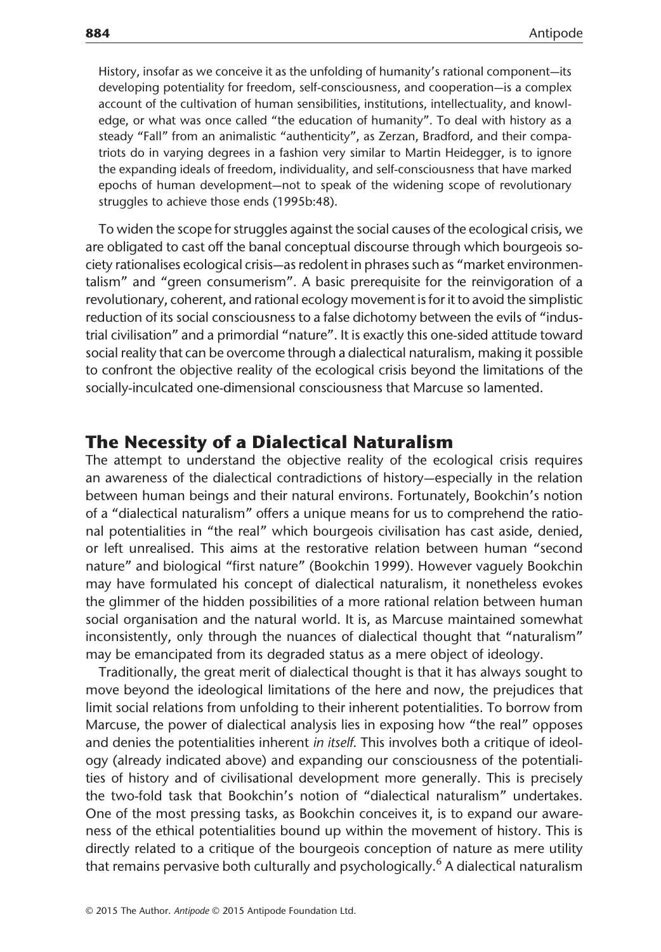History, insofar as we conceive it as the unfolding of humanity's rational component—its developing potentiality for freedom, self-consciousness, and cooperation—is a complex account of the cultivation of human sensibilities, institutions, intellectuality, and knowledge, or what was once called "the education of humanity". To deal with history as a steady "Fall" from an animalistic "authenticity", as Zerzan, Bradford, and their compatriots do in varying degrees in a fashion very similar to Martin Heidegger, is to ignore the expanding ideals of freedom, individuality, and self-consciousness that have marked epochs of human development—not to speak of the widening scope of revolutionary struggles to achieve those ends (1995b:48).

To widen the scope for struggles against the social causes of the ecological crisis, we are obligated to cast off the banal conceptual discourse through which bourgeois society rationalises ecological crisis—as redolent in phrases such as "market environmentalism" and "green consumerism". A basic prerequisite for the reinvigoration of a revolutionary, coherent, and rational ecology movement is for it to avoid the simplistic reduction of its social consciousness to a false dichotomy between the evils of "industrial civilisation" and a primordial "nature". It is exactly this one-sided attitude toward social reality that can be overcome through a dialectical naturalism, making it possible to confront the objective reality of the ecological crisis beyond the limitations of the socially-inculcated one-dimensional consciousness that Marcuse so lamented.

#### The Necessity of a Dialectical Naturalism

The attempt to understand the objective reality of the ecological crisis requires an awareness of the dialectical contradictions of history—especially in the relation between human beings and their natural environs. Fortunately, Bookchin's notion of a "dialectical naturalism" offers a unique means for us to comprehend the rational potentialities in "the real" which bourgeois civilisation has cast aside, denied, or left unrealised. This aims at the restorative relation between human "second nature" and biological "first nature" (Bookchin 1999). However vaguely Bookchin may have formulated his concept of dialectical naturalism, it nonetheless evokes the glimmer of the hidden possibilities of a more rational relation between human social organisation and the natural world. It is, as Marcuse maintained somewhat inconsistently, only through the nuances of dialectical thought that "naturalism" may be emancipated from its degraded status as a mere object of ideology.

Traditionally, the great merit of dialectical thought is that it has always sought to move beyond the ideological limitations of the here and now, the prejudices that limit social relations from unfolding to their inherent potentialities. To borrow from Marcuse, the power of dialectical analysis lies in exposing how "the real" opposes and denies the potentialities inherent in itself. This involves both a critique of ideology (already indicated above) and expanding our consciousness of the potentialities of history and of civilisational development more generally. This is precisely the two-fold task that Bookchin's notion of "dialectical naturalism" undertakes. One of the most pressing tasks, as Bookchin conceives it, is to expand our awareness of the ethical potentialities bound up within the movement of history. This is directly related to a critique of the bourgeois conception of nature as mere utility that remains pervasive both culturally and psychologically.<sup>6</sup> A dialectical naturalism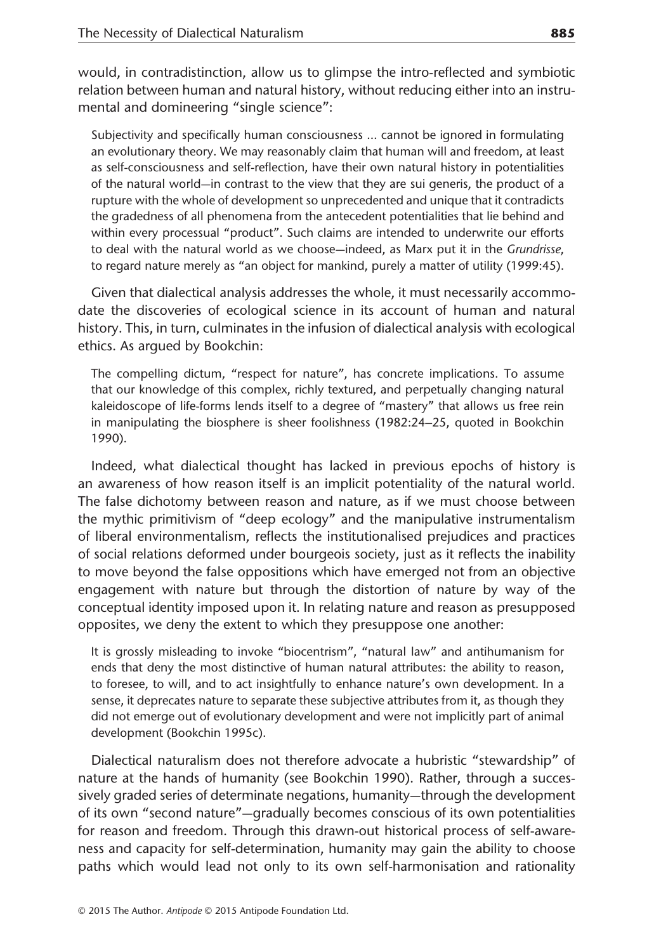would, in contradistinction, allow us to glimpse the intro-reflected and symbiotic relation between human and natural history, without reducing either into an instrumental and domineering "single science":

Subjectivity and specifically human consciousness … cannot be ignored in formulating an evolutionary theory. We may reasonably claim that human will and freedom, at least as self-consciousness and self-reflection, have their own natural history in potentialities of the natural world—in contrast to the view that they are sui generis, the product of a rupture with the whole of development so unprecedented and unique that it contradicts the gradedness of all phenomena from the antecedent potentialities that lie behind and within every processual "product". Such claims are intended to underwrite our efforts to deal with the natural world as we choose—indeed, as Marx put it in the Grundrisse, to regard nature merely as "an object for mankind, purely a matter of utility (1999:45).

Given that dialectical analysis addresses the whole, it must necessarily accommodate the discoveries of ecological science in its account of human and natural history. This, in turn, culminates in the infusion of dialectical analysis with ecological ethics. As argued by Bookchin:

The compelling dictum, "respect for nature", has concrete implications. To assume that our knowledge of this complex, richly textured, and perpetually changing natural kaleidoscope of life-forms lends itself to a degree of "mastery" that allows us free rein in manipulating the biosphere is sheer foolishness (1982:24–25, quoted in Bookchin 1990).

Indeed, what dialectical thought has lacked in previous epochs of history is an awareness of how reason itself is an implicit potentiality of the natural world. The false dichotomy between reason and nature, as if we must choose between the mythic primitivism of "deep ecology" and the manipulative instrumentalism of liberal environmentalism, reflects the institutionalised prejudices and practices of social relations deformed under bourgeois society, just as it reflects the inability to move beyond the false oppositions which have emerged not from an objective engagement with nature but through the distortion of nature by way of the conceptual identity imposed upon it. In relating nature and reason as presupposed opposites, we deny the extent to which they presuppose one another:

It is grossly misleading to invoke "biocentrism", "natural law" and antihumanism for ends that deny the most distinctive of human natural attributes: the ability to reason, to foresee, to will, and to act insightfully to enhance nature's own development. In a sense, it deprecates nature to separate these subjective attributes from it, as though they did not emerge out of evolutionary development and were not implicitly part of animal development (Bookchin 1995c).

Dialectical naturalism does not therefore advocate a hubristic "stewardship" of nature at the hands of humanity (see Bookchin 1990). Rather, through a successively graded series of determinate negations, humanity—through the development of its own "second nature"—gradually becomes conscious of its own potentialities for reason and freedom. Through this drawn-out historical process of self-awareness and capacity for self-determination, humanity may gain the ability to choose paths which would lead not only to its own self-harmonisation and rationality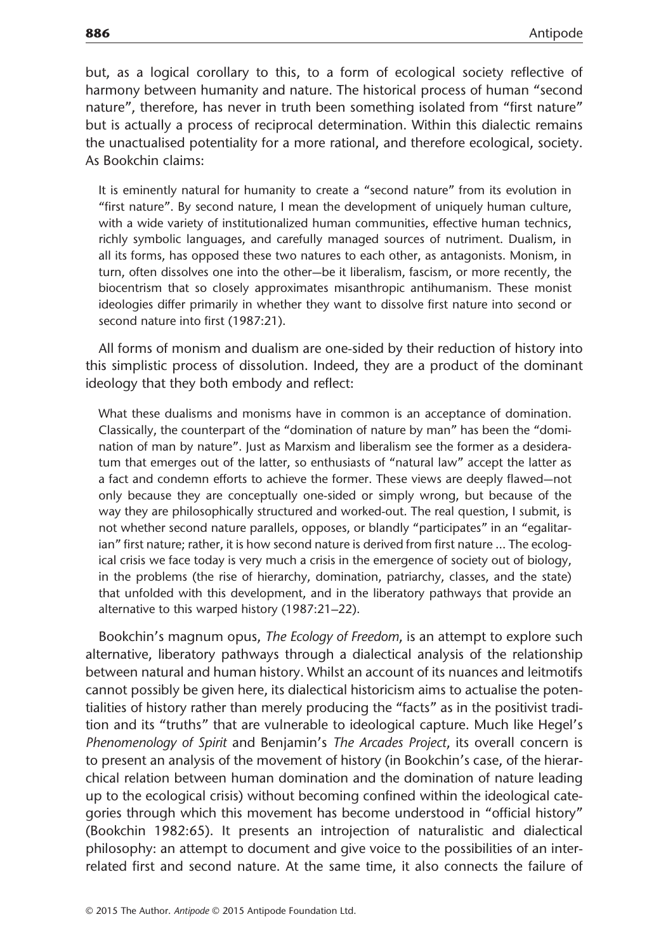but, as a logical corollary to this, to a form of ecological society reflective of harmony between humanity and nature. The historical process of human "second nature", therefore, has never in truth been something isolated from "first nature" but is actually a process of reciprocal determination. Within this dialectic remains the unactualised potentiality for a more rational, and therefore ecological, society. As Bookchin claims:

It is eminently natural for humanity to create a "second nature" from its evolution in "first nature". By second nature, I mean the development of uniquely human culture, with a wide variety of institutionalized human communities, effective human technics, richly symbolic languages, and carefully managed sources of nutriment. Dualism, in all its forms, has opposed these two natures to each other, as antagonists. Monism, in turn, often dissolves one into the other—be it liberalism, fascism, or more recently, the biocentrism that so closely approximates misanthropic antihumanism. These monist ideologies differ primarily in whether they want to dissolve first nature into second or second nature into first (1987:21).

All forms of monism and dualism are one-sided by their reduction of history into this simplistic process of dissolution. Indeed, they are a product of the dominant ideology that they both embody and reflect:

What these dualisms and monisms have in common is an acceptance of domination. Classically, the counterpart of the "domination of nature by man" has been the "domination of man by nature". Just as Marxism and liberalism see the former as a desideratum that emerges out of the latter, so enthusiasts of "natural law" accept the latter as a fact and condemn efforts to achieve the former. These views are deeply flawed—not only because they are conceptually one-sided or simply wrong, but because of the way they are philosophically structured and worked-out. The real question, I submit, is not whether second nature parallels, opposes, or blandly "participates" in an "egalitarian" first nature; rather, it is how second nature is derived from first nature … The ecological crisis we face today is very much a crisis in the emergence of society out of biology, in the problems (the rise of hierarchy, domination, patriarchy, classes, and the state) that unfolded with this development, and in the liberatory pathways that provide an alternative to this warped history (1987:21–22).

Bookchin's magnum opus, The Ecology of Freedom, is an attempt to explore such alternative, liberatory pathways through a dialectical analysis of the relationship between natural and human history. Whilst an account of its nuances and leitmotifs cannot possibly be given here, its dialectical historicism aims to actualise the potentialities of history rather than merely producing the "facts" as in the positivist tradition and its "truths" that are vulnerable to ideological capture. Much like Hegel's Phenomenology of Spirit and Benjamin's The Arcades Project, its overall concern is to present an analysis of the movement of history (in Bookchin's case, of the hierarchical relation between human domination and the domination of nature leading up to the ecological crisis) without becoming confined within the ideological categories through which this movement has become understood in "official history" (Bookchin 1982:65). It presents an introjection of naturalistic and dialectical philosophy: an attempt to document and give voice to the possibilities of an interrelated first and second nature. At the same time, it also connects the failure of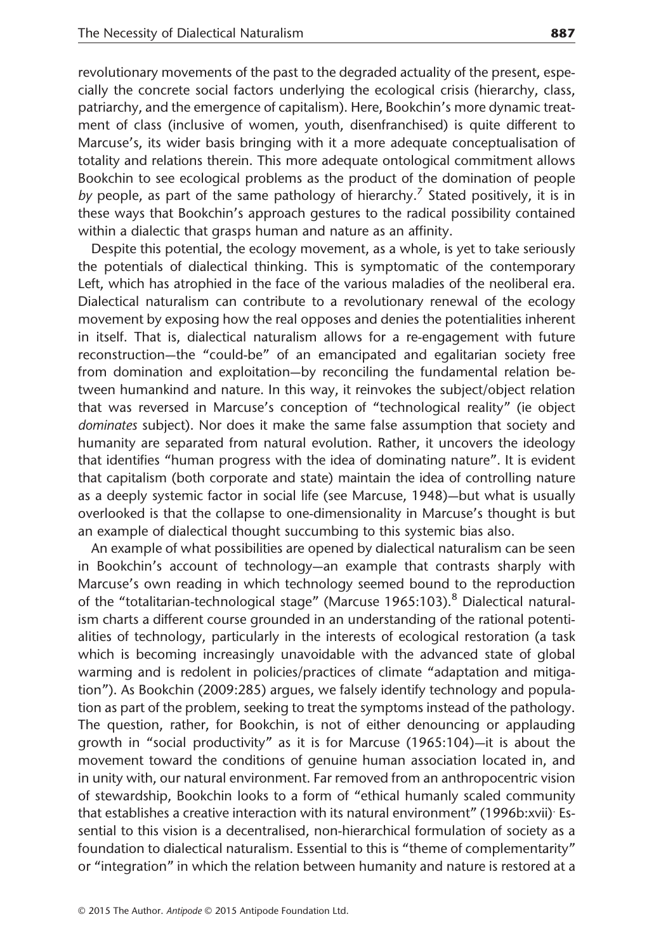revolutionary movements of the past to the degraded actuality of the present, especially the concrete social factors underlying the ecological crisis (hierarchy, class, patriarchy, and the emergence of capitalism). Here, Bookchin's more dynamic treatment of class (inclusive of women, youth, disenfranchised) is quite different to Marcuse's, its wider basis bringing with it a more adequate conceptualisation of totality and relations therein. This more adequate ontological commitment allows Bookchin to see ecological problems as the product of the domination of people by people, as part of the same pathology of hierarchy.<sup>7</sup> Stated positively, it is in these ways that Bookchin's approach gestures to the radical possibility contained within a dialectic that grasps human and nature as an affinity.

Despite this potential, the ecology movement, as a whole, is yet to take seriously the potentials of dialectical thinking. This is symptomatic of the contemporary Left, which has atrophied in the face of the various maladies of the neoliberal era. Dialectical naturalism can contribute to a revolutionary renewal of the ecology movement by exposing how the real opposes and denies the potentialities inherent in itself. That is, dialectical naturalism allows for a re-engagement with future reconstruction—the "could-be" of an emancipated and egalitarian society free from domination and exploitation—by reconciling the fundamental relation between humankind and nature. In this way, it reinvokes the subject/object relation that was reversed in Marcuse's conception of "technological reality" (ie object dominates subject). Nor does it make the same false assumption that society and humanity are separated from natural evolution. Rather, it uncovers the ideology that identifies "human progress with the idea of dominating nature". It is evident that capitalism (both corporate and state) maintain the idea of controlling nature as a deeply systemic factor in social life (see Marcuse, 1948)—but what is usually overlooked is that the collapse to one-dimensionality in Marcuse's thought is but an example of dialectical thought succumbing to this systemic bias also.

An example of what possibilities are opened by dialectical naturalism can be seen in Bookchin's account of technology—an example that contrasts sharply with Marcuse's own reading in which technology seemed bound to the reproduction of the "totalitarian-technological stage" (Marcuse 1965:103).<sup>8</sup> Dialectical naturalism charts a different course grounded in an understanding of the rational potentialities of technology, particularly in the interests of ecological restoration (a task which is becoming increasingly unavoidable with the advanced state of global warming and is redolent in policies/practices of climate "adaptation and mitigation"). As Bookchin (2009:285) argues, we falsely identify technology and population as part of the problem, seeking to treat the symptoms instead of the pathology. The question, rather, for Bookchin, is not of either denouncing or applauding growth in "social productivity" as it is for Marcuse (1965:104)—it is about the movement toward the conditions of genuine human association located in, and in unity with, our natural environment. Far removed from an anthropocentric vision of stewardship, Bookchin looks to a form of "ethical humanly scaled community that establishes a creative interaction with its natural environment" (1996b:xvii)<sup>.</sup> Essential to this vision is a decentralised, non-hierarchical formulation of society as a foundation to dialectical naturalism. Essential to this is "theme of complementarity" or "integration" in which the relation between humanity and nature is restored at a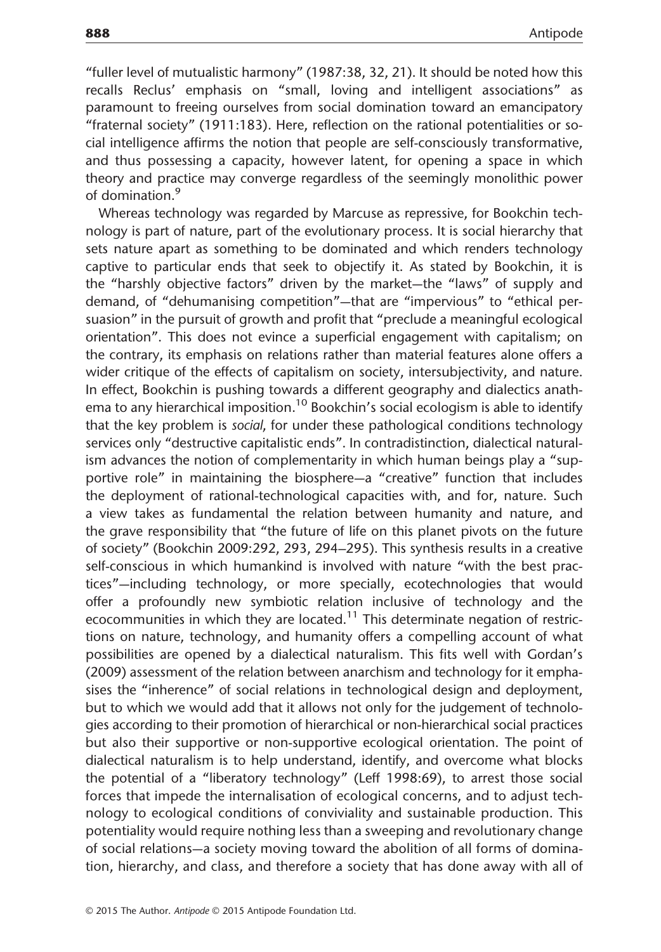"fuller level of mutualistic harmony" (1987:38, 32, 21). It should be noted how this recalls Reclus' emphasis on "small, loving and intelligent associations" as paramount to freeing ourselves from social domination toward an emancipatory "fraternal society" (1911:183). Here, reflection on the rational potentialities or social intelligence affirms the notion that people are self-consciously transformative, and thus possessing a capacity, however latent, for opening a space in which theory and practice may converge regardless of the seemingly monolithic power of domination.<sup>9</sup>

Whereas technology was regarded by Marcuse as repressive, for Bookchin technology is part of nature, part of the evolutionary process. It is social hierarchy that sets nature apart as something to be dominated and which renders technology captive to particular ends that seek to objectify it. As stated by Bookchin, it is the "harshly objective factors" driven by the market—the "laws" of supply and demand, of "dehumanising competition"—that are "impervious" to "ethical persuasion" in the pursuit of growth and profit that "preclude a meaningful ecological orientation". This does not evince a superficial engagement with capitalism; on the contrary, its emphasis on relations rather than material features alone offers a wider critique of the effects of capitalism on society, intersubjectivity, and nature. In effect, Bookchin is pushing towards a different geography and dialectics anathema to any hierarchical imposition.<sup>10</sup> Bookchin's social ecologism is able to identify that the key problem is social, for under these pathological conditions technology services only "destructive capitalistic ends". In contradistinction, dialectical naturalism advances the notion of complementarity in which human beings play a "supportive role" in maintaining the biosphere—a "creative" function that includes the deployment of rational-technological capacities with, and for, nature. Such a view takes as fundamental the relation between humanity and nature, and the grave responsibility that "the future of life on this planet pivots on the future of society" (Bookchin 2009:292, 293, 294–295). This synthesis results in a creative self-conscious in which humankind is involved with nature "with the best practices"—including technology, or more specially, ecotechnologies that would offer a profoundly new symbiotic relation inclusive of technology and the ecocommunities in which they are located.<sup>11</sup> This determinate negation of restrictions on nature, technology, and humanity offers a compelling account of what possibilities are opened by a dialectical naturalism. This fits well with Gordan's (2009) assessment of the relation between anarchism and technology for it emphasises the "inherence" of social relations in technological design and deployment, but to which we would add that it allows not only for the judgement of technologies according to their promotion of hierarchical or non-hierarchical social practices but also their supportive or non-supportive ecological orientation. The point of dialectical naturalism is to help understand, identify, and overcome what blocks the potential of a "liberatory technology" (Leff 1998:69), to arrest those social forces that impede the internalisation of ecological concerns, and to adjust technology to ecological conditions of conviviality and sustainable production. This potentiality would require nothing less than a sweeping and revolutionary change of social relations—a society moving toward the abolition of all forms of domination, hierarchy, and class, and therefore a society that has done away with all of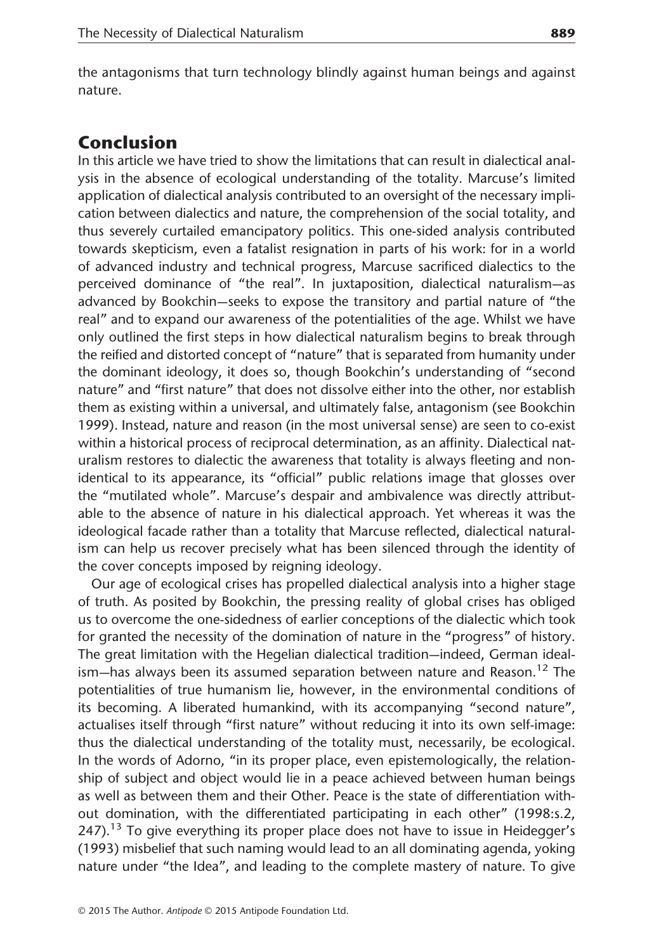## Conclusion

In this article we have tried to show the limitations that can result in dialectical analysis in the absence of ecological understanding of the totality. Marcuse's limited application of dialectical analysis contributed to an oversight of the necessary implication between dialectics and nature, the comprehension of the social totality, and thus severely curtailed emancipatory politics. This one-sided analysis contributed towards skepticism, even a fatalist resignation in parts of his work: for in a world of advanced industry and technical progress, Marcuse sacrificed dialectics to the perceived dominance of "the real". In juxtaposition, dialectical naturalism—as advanced by Bookchin—seeks to expose the transitory and partial nature of "the real" and to expand our awareness of the potentialities of the age. Whilst we have only outlined the first steps in how dialectical naturalism begins to break through the reified and distorted concept of "nature" that is separated from humanity under the dominant ideology, it does so, though Bookchin's understanding of "second nature" and "first nature" that does not dissolve either into the other, nor establish them as existing within a universal, and ultimately false, antagonism (see Bookchin 1999). Instead, nature and reason (in the most universal sense) are seen to co-exist within a historical process of reciprocal determination, as an affinity. Dialectical naturalism restores to dialectic the awareness that totality is always fleeting and nonidentical to its appearance, its "official" public relations image that glosses over the "mutilated whole". Marcuse's despair and ambivalence was directly attributable to the absence of nature in his dialectical approach. Yet whereas it was the ideological facade rather than a totality that Marcuse reflected, dialectical naturalism can help us recover precisely what has been silenced through the identity of the cover concepts imposed by reigning ideology.

Our age of ecological crises has propelled dialectical analysis into a higher stage of truth. As posited by Bookchin, the pressing reality of global crises has obliged us to overcome the one-sidedness of earlier conceptions of the dialectic which took for granted the necessity of the domination of nature in the "progress" of history. The great limitation with the Hegelian dialectical tradition—indeed, German idealism—has always been its assumed separation between nature and Reason.<sup>12</sup> The potentialities of true humanism lie, however, in the environmental conditions of its becoming. A liberated humankind, with its accompanying "second nature", actualises itself through "first nature" without reducing it into its own self-image: thus the dialectical understanding of the totality must, necessarily, be ecological. In the words of Adorno, "in its proper place, even epistemologically, the relationship of subject and object would lie in a peace achieved between human beings as well as between them and their Other. Peace is the state of differentiation without domination, with the differentiated participating in each other" (1998:s.2,  $247$ ).<sup>13</sup> To give everything its proper place does not have to issue in Heidegger's (1993) misbelief that such naming would lead to an all dominating agenda, yoking nature under "the Idea", and leading to the complete mastery of nature. To give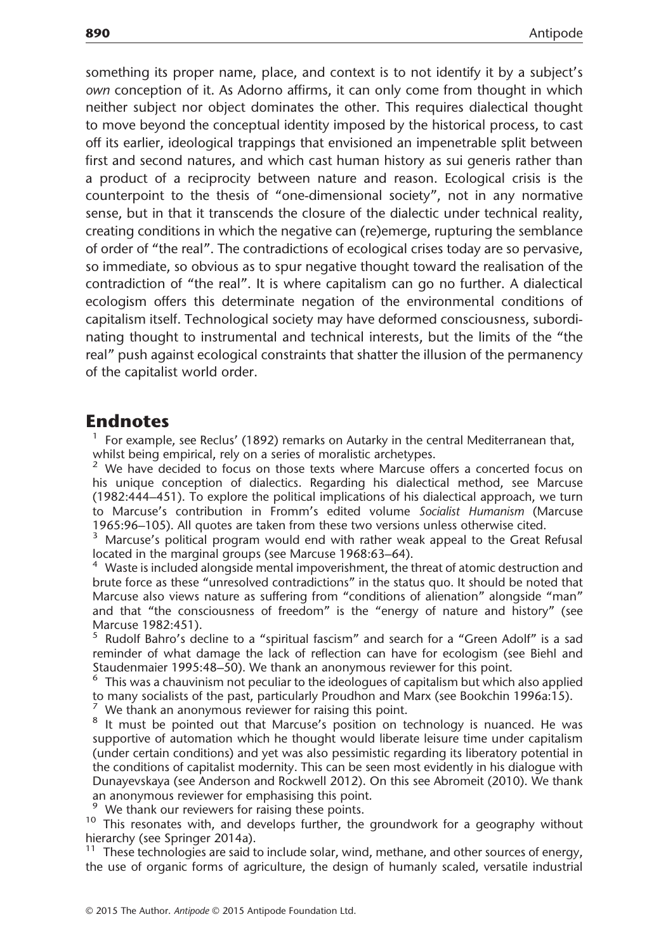something its proper name, place, and context is to not identify it by a subject's own conception of it. As Adorno affirms, it can only come from thought in which neither subject nor object dominates the other. This requires dialectical thought to move beyond the conceptual identity imposed by the historical process, to cast off its earlier, ideological trappings that envisioned an impenetrable split between first and second natures, and which cast human history as sui generis rather than a product of a reciprocity between nature and reason. Ecological crisis is the counterpoint to the thesis of "one-dimensional society", not in any normative sense, but in that it transcends the closure of the dialectic under technical reality, creating conditions in which the negative can (re)emerge, rupturing the semblance of order of "the real". The contradictions of ecological crises today are so pervasive, so immediate, so obvious as to spur negative thought toward the realisation of the contradiction of "the real". It is where capitalism can go no further. A dialectical ecologism offers this determinate negation of the environmental conditions of capitalism itself. Technological society may have deformed consciousness, subordinating thought to instrumental and technical interests, but the limits of the "the real" push against ecological constraints that shatter the illusion of the permanency of the capitalist world order.

#### Endnotes

For example, see Reclus' (1892) remarks on Autarky in the central Mediterranean that, whilst being empirical, rely on a series of moralistic archetypes.

<sup>2</sup> We have decided to focus on those texts where Marcuse offers a concerted focus on his unique conception of dialectics. Regarding his dialectical method, see Marcuse (1982:444–451). To explore the political implications of his dialectical approach, we turn to Marcuse's contribution in Fromm's edited volume Socialist Humanism (Marcuse 1965:96–105). All quotes are taken from these two versions unless otherwise cited.

<sup>3</sup> Marcuse's political program would end with rather weak appeal to the Great Refusal located in the marginal groups (see Marcuse 1968:63–64).

 $4$  Waste is included alongside mental impoverishment, the threat of atomic destruction and brute force as these "unresolved contradictions" in the status quo. It should be noted that Marcuse also views nature as suffering from "conditions of alienation" alongside "man" and that "the consciousness of freedom" is the "energy of nature and history" (see Marcuse 1982:451).

<sup>5</sup> Rudolf Bahro's decline to a "spiritual fascism" and search for a "Green Adolf" is a sad reminder of what damage the lack of reflection can have for ecologism (see Biehl and<br>Staudenmaier 1995:48–50). We thank an anonymous reviewer for this point.

 $6$  This was a chauvinism not peculiar to the ideologues of capitalism but which also applied to many socialists of the past, particularly Proudhon and Marx (see Bookchin 1996a:15).<br><sup>7</sup> We thank an anonymous reviewer for raising this point.

 $8$  It must be pointed out that Marcuse's position on technology is nuanced. He was supportive of automation which he thought would liberate leisure time under capitalism (under certain conditions) and yet was also pessimistic regarding its liberatory potential in the conditions of capitalist modernity. This can be seen most evidently in his dialogue with Dunayevskaya (see Anderson and Rockwell 2012). On this see Abromeit (2010). We thank

an anonymous reviewer for emphasising this point.<br><sup>9</sup> We thank our reviewers for raising these points.

 $10$  This resonates with, and develops further, the groundwork for a geography without hierarchy (see Springer 2014a).

 $11$  These technologies are said to include solar, wind, methane, and other sources of energy, the use of organic forms of agriculture, the design of humanly scaled, versatile industrial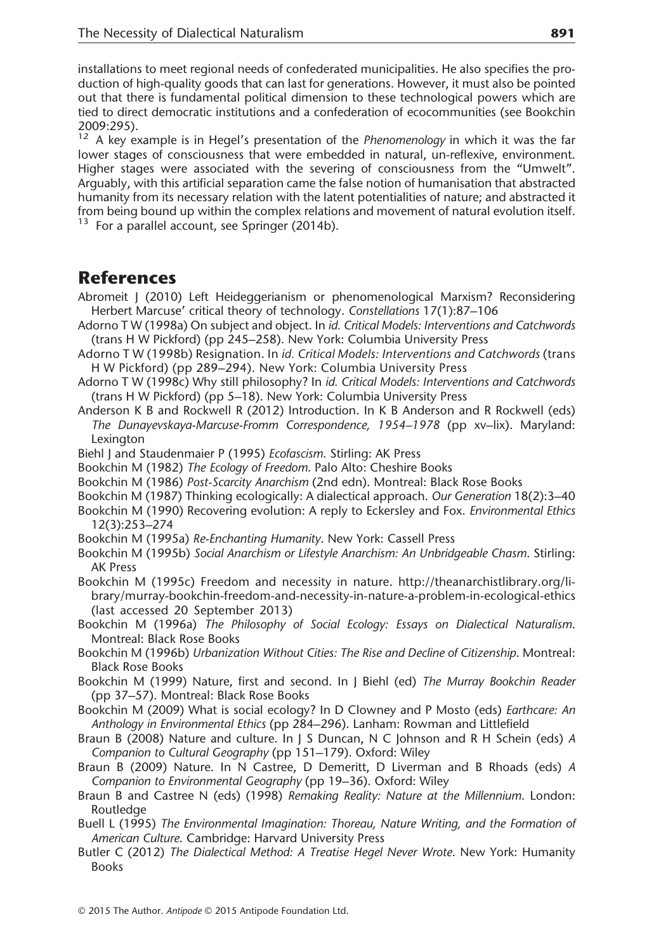installations to meet regional needs of confederated municipalities. He also specifies the production of high-quality goods that can last for generations. However, it must also be pointed out that there is fundamental political dimension to these technological powers which are tied to direct democratic institutions and a confederation of ecocommunities (see Bookchin 2009:295).

 $12$  A key example is in Hegel's presentation of the *Phenomenology* in which it was the far lower stages of consciousness that were embedded in natural, un-reflexive, environment. Higher stages were associated with the severing of consciousness from the "Umwelt". Arguably, with this artificial separation came the false notion of humanisation that abstracted humanity from its necessary relation with the latent potentialities of nature; and abstracted it from being bound up within the complex relations and movement of natural evolution itself.  $13$  For a parallel account, see Springer (2014b).

#### References

- Abromeit J (2010) Left Heideggerianism or phenomenological Marxism? Reconsidering Herbert Marcuse' critical theory of technology. Constellations 17(1):87–106
- Adorno T W (1998a) On subject and object. In id. Critical Models: Interventions and Catchwords (trans H W Pickford) (pp 245–258). New York: Columbia University Press
- Adorno T W (1998b) Resignation. In id. Critical Models: Interventions and Catchwords (trans H W Pickford) (pp 289–294). New York: Columbia University Press
- Adorno T W (1998c) Why still philosophy? In id. Critical Models: Interventions and Catchwords (trans H W Pickford) (pp 5–18). New York: Columbia University Press
- Anderson K B and Rockwell R (2012) Introduction. In K B Anderson and R Rockwell (eds) The Dunayevskaya-Marcuse-Fromm Correspondence, 1954–1978 (pp xv–lix). Maryland: Lexington
- Biehl J and Staudenmaier P (1995) Ecofascism. Stirling: AK Press
- Bookchin M (1982) The Ecology of Freedom. Palo Alto: Cheshire Books
- Bookchin M (1986) Post-Scarcity Anarchism (2nd edn). Montreal: Black Rose Books
- Bookchin M (1987) Thinking ecologically: A dialectical approach. Our Generation 18(2):3–40
- Bookchin M (1990) Recovering evolution: A reply to Eckersley and Fox. Environmental Ethics 12(3):253–274
- Bookchin M (1995a) Re-Enchanting Humanity. New York: Cassell Press
- Bookchin M (1995b) Social Anarchism or Lifestyle Anarchism: An Unbridgeable Chasm. Stirling: AK Press
- Bookchin M (1995c) Freedom and necessity in nature. [http://theanarchistlibrary.org/li](http://theanarchistlibrary.org/library/murray-bookchin-freedom-and-necessity-in-nature-a-problem-in-ecological-ethics)[brary/murray-bookchin-freedom-and-necessity-in-nature-a-problem-in-ecological-ethics](http://theanarchistlibrary.org/library/murray-bookchin-freedom-and-necessity-in-nature-a-problem-in-ecological-ethics) (last accessed 20 September 2013)
- Bookchin M (1996a) The Philosophy of Social Ecology: Essays on Dialectical Naturalism. Montreal: Black Rose Books
- Bookchin M (1996b) Urbanization Without Cities: The Rise and Decline of Citizenship. Montreal: Black Rose Books
- Bookchin M (1999) Nature, first and second. In J Biehl (ed) The Murray Bookchin Reader (pp 37–57). Montreal: Black Rose Books
- Bookchin M (2009) What is social ecology? In D Clowney and P Mosto (eds) Earthcare: An Anthology in Environmental Ethics (pp 284–296). Lanham: Rowman and Littlefield
- Braun B (2008) Nature and culture. In J S Duncan, N C Johnson and R H Schein (eds) A Companion to Cultural Geography (pp 151–179). Oxford: Wiley
- Braun B (2009) Nature. In N Castree, D Demeritt, D Liverman and B Rhoads (eds) A Companion to Environmental Geography (pp 19–36). Oxford: Wiley
- Braun B and Castree N (eds) (1998) Remaking Reality: Nature at the Millennium. London: Routledge
- Buell L (1995) The Environmental Imagination: Thoreau, Nature Writing, and the Formation of American Culture. Cambridge: Harvard University Press
- Butler C (2012) The Dialectical Method: A Treatise Hegel Never Wrote. New York: Humanity Books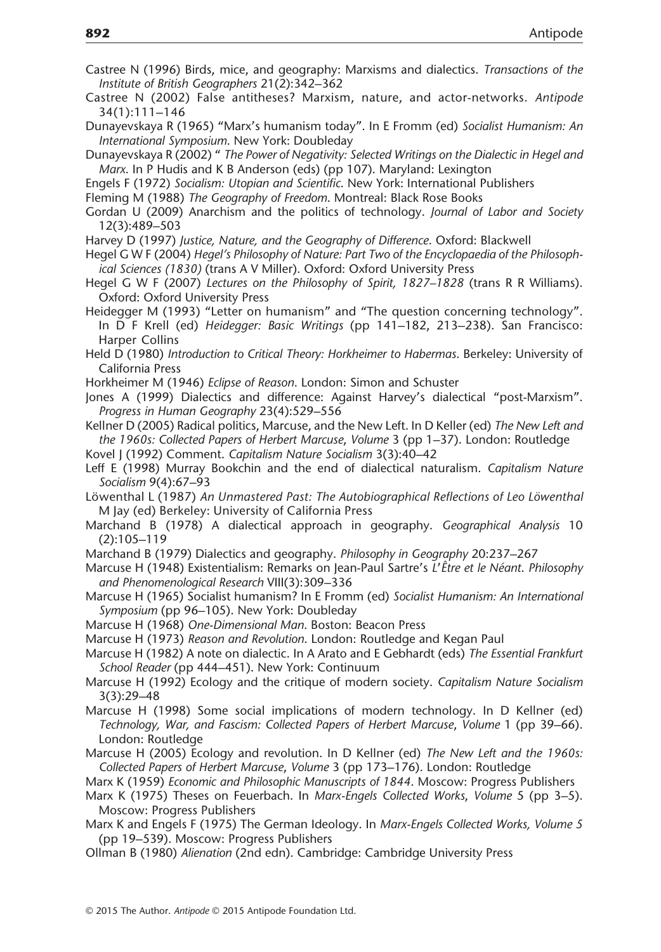- Castree N (1996) Birds, mice, and geography: Marxisms and dialectics. Transactions of the Institute of British Geographers 21(2):342–362
- Castree N (2002) False antitheses? Marxism, nature, and actor-networks. Antipode 34(1):111–146
- Dunayevskaya R (1965) "Marx's humanism today". In E Fromm (ed) Socialist Humanism: An International Symposium. New York: Doubleday
- Dunayevskaya R (2002) " The Power of Negativity: Selected Writings on the Dialectic in Hegel and Marx. In P Hudis and K B Anderson (eds) (pp 107). Maryland: Lexington
- Engels F (1972) Socialism: Utopian and Scientific. New York: International Publishers
- Fleming M (1988) The Geography of Freedom. Montreal: Black Rose Books
- Gordan U (2009) Anarchism and the politics of technology. Journal of Labor and Society 12(3):489–503
- Harvey D (1997) Justice, Nature, and the Geography of Difference. Oxford: Blackwell
- Hegel G W F (2004) Hegel's Philosophy of Nature: Part Two of the Encyclopaedia of the Philosophical Sciences (1830) (trans A V Miller). Oxford: Oxford University Press
- Hegel G W F (2007) Lectures on the Philosophy of Spirit, 1827–1828 (trans R R Williams). Oxford: Oxford University Press
- Heidegger M (1993) "Letter on humanism" and "The question concerning technology". In D F Krell (ed) Heidegger: Basic Writings (pp 141–182, 213–238). San Francisco: Harper Collins
- Held D (1980) Introduction to Critical Theory: Horkheimer to Habermas. Berkeley: University of California Press
- Horkheimer M (1946) Eclipse of Reason. London: Simon and Schuster
- Jones A (1999) Dialectics and difference: Against Harvey's dialectical "post-Marxism". Progress in Human Geography 23(4):529–556
- Kellner D (2005) Radical politics, Marcuse, and the New Left. In D Keller (ed) The New Left and the 1960s: Collected Papers of Herbert Marcuse, Volume 3 (pp 1–37). London: Routledge
- Kovel J (1992) Comment. Capitalism Nature Socialism 3(3):40-42
- Leff E (1998) Murray Bookchin and the end of dialectical naturalism. Capitalism Nature Socialism 9(4):67–93
- Löwenthal L (1987) An Unmastered Past: The Autobiographical Reflections of Leo Löwenthal M Jay (ed) Berkeley: University of California Press
- Marchand B (1978) A dialectical approach in geography. Geographical Analysis 10 (2):105–119
- Marchand B (1979) Dialectics and geography. Philosophy in Geography 20:237–267
- Marcuse H (1948) Existentialism: Remarks on Jean-Paul Sartre's L'Être et le Néant. Philosophy and Phenomenological Research VIII(3):309–336
- Marcuse H (1965) Socialist humanism? In E Fromm (ed) Socialist Humanism: An International Symposium (pp 96–105). New York: Doubleday
- Marcuse H (1968) One-Dimensional Man. Boston: Beacon Press
- Marcuse H (1973) Reason and Revolution. London: Routledge and Kegan Paul
- Marcuse H (1982) A note on dialectic. In A Arato and E Gebhardt (eds) The Essential Frankfurt School Reader (pp 444–451). New York: Continuum
- Marcuse H (1992) Ecology and the critique of modern society. Capitalism Nature Socialism 3(3):29–48
- Marcuse H (1998) Some social implications of modern technology. In D Kellner (ed) Technology, War, and Fascism: Collected Papers of Herbert Marcuse, Volume 1 (pp 39–66). London: Routledge
- Marcuse H (2005) Ecology and revolution. In D Kellner (ed) The New Left and the 1960s: Collected Papers of Herbert Marcuse, Volume 3 (pp 173–176). London: Routledge
- Marx K (1959) Economic and Philosophic Manuscripts of 1844. Moscow: Progress Publishers
- Marx K (1975) Theses on Feuerbach. In Marx-Engels Collected Works, Volume 5 (pp 3–5). Moscow: Progress Publishers
- Marx K and Engels F (1975) The German Ideology. In Marx-Engels Collected Works, Volume 5 (pp 19–539). Moscow: Progress Publishers
- Ollman B (1980) Alienation (2nd edn). Cambridge: Cambridge University Press